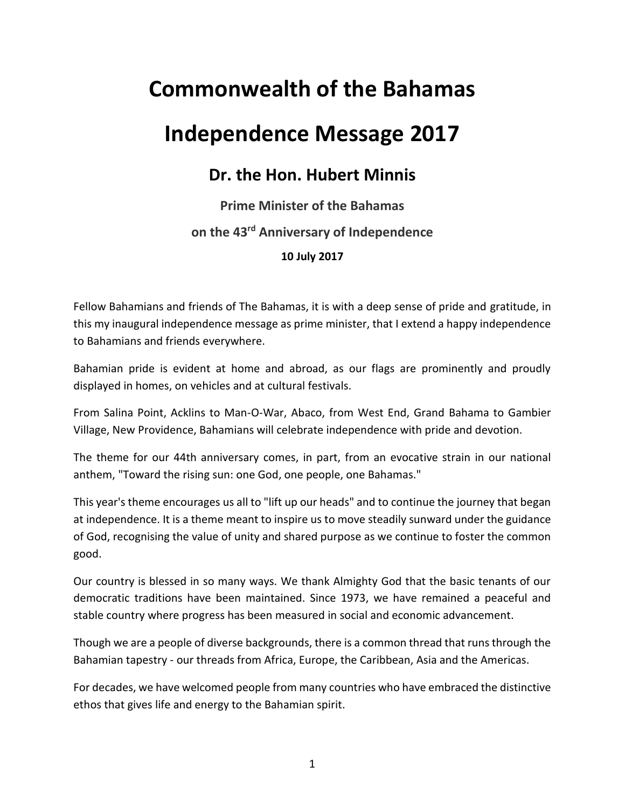## **Commonwealth of the Bahamas**

## **Independence Message 2017**

## **Dr. the Hon. Hubert Minnis**

## **Prime Minister of the Bahamas on the 43 rd Anniversary of Independence 10 July 2017**

Fellow Bahamians and friends of The Bahamas, it is with a deep sense of pride and gratitude, in this my inaugural independence message as prime minister, that I extend a happy independence to Bahamians and friends everywhere.

Bahamian pride is evident at home and abroad, as our flags are prominently and proudly displayed in homes, on vehicles and at cultural festivals.

From Salina Point, Acklins to Man-O-War, Abaco, from West End, Grand Bahama to Gambier Village, New Providence, Bahamians will celebrate independence with pride and devotion.

The theme for our 44th anniversary comes, in part, from an evocative strain in our national anthem, "Toward the rising sun: one God, one people, one Bahamas."

This year's theme encourages us all to "lift up our heads" and to continue the journey that began at independence. It is a theme meant to inspire us to move steadily sunward under the guidance of God, recognising the value of unity and shared purpose as we continue to foster the common good.

Our country is blessed in so many ways. We thank Almighty God that the basic tenants of our democratic traditions have been maintained. Since 1973, we have remained a peaceful and stable country where progress has been measured in social and economic advancement.

Though we are a people of diverse backgrounds, there is a common thread that runs through the Bahamian tapestry - our threads from Africa, Europe, the Caribbean, Asia and the Americas.

For decades, we have welcomed people from many countries who have embraced the distinctive ethos that gives life and energy to the Bahamian spirit.